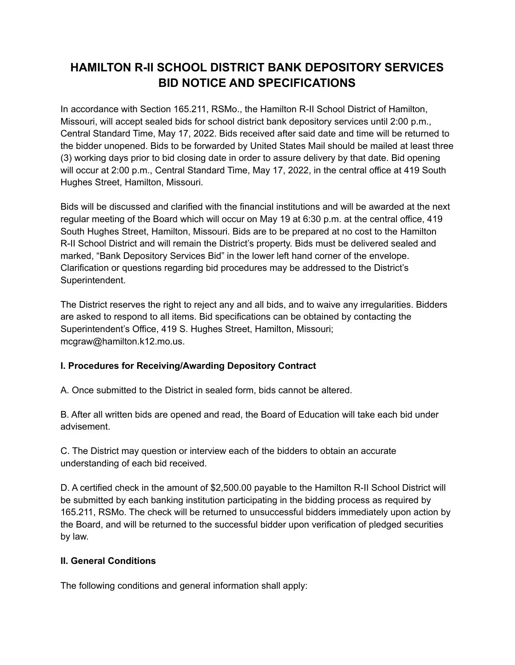# **HAMILTON R-II SCHOOL DISTRICT BANK DEPOSITORY SERVICES BID NOTICE AND SPECIFICATIONS**

In accordance with Section 165.211, RSMo., the Hamilton R-II School District of Hamilton, Missouri, will accept sealed bids for school district bank depository services until 2:00 p.m., Central Standard Time, May 17, 2022. Bids received after said date and time will be returned to the bidder unopened. Bids to be forwarded by United States Mail should be mailed at least three (3) working days prior to bid closing date in order to assure delivery by that date. Bid opening will occur at 2:00 p.m., Central Standard Time, May 17, 2022, in the central office at 419 South Hughes Street, Hamilton, Missouri.

Bids will be discussed and clarified with the financial institutions and will be awarded at the next regular meeting of the Board which will occur on May 19 at 6:30 p.m. at the central office, 419 South Hughes Street, Hamilton, Missouri. Bids are to be prepared at no cost to the Hamilton R-II School District and will remain the District's property. Bids must be delivered sealed and marked, "Bank Depository Services Bid" in the lower left hand corner of the envelope. Clarification or questions regarding bid procedures may be addressed to the District's Superintendent.

The District reserves the right to reject any and all bids, and to waive any irregularities. Bidders are asked to respond to all items. Bid specifications can be obtained by contacting the Superintendent's Office, 419 S. Hughes Street, Hamilton, Missouri; mcgraw@hamilton.k12.mo.us.

# **I. Procedures for Receiving/Awarding Depository Contract**

A. Once submitted to the District in sealed form, bids cannot be altered.

B. After all written bids are opened and read, the Board of Education will take each bid under advisement.

C. The District may question or interview each of the bidders to obtain an accurate understanding of each bid received.

D. A certified check in the amount of \$2,500.00 payable to the Hamilton R-II School District will be submitted by each banking institution participating in the bidding process as required by 165.211, RSMo. The check will be returned to unsuccessful bidders immediately upon action by the Board, and will be returned to the successful bidder upon verification of pledged securities by law.

#### **II. General Conditions**

The following conditions and general information shall apply: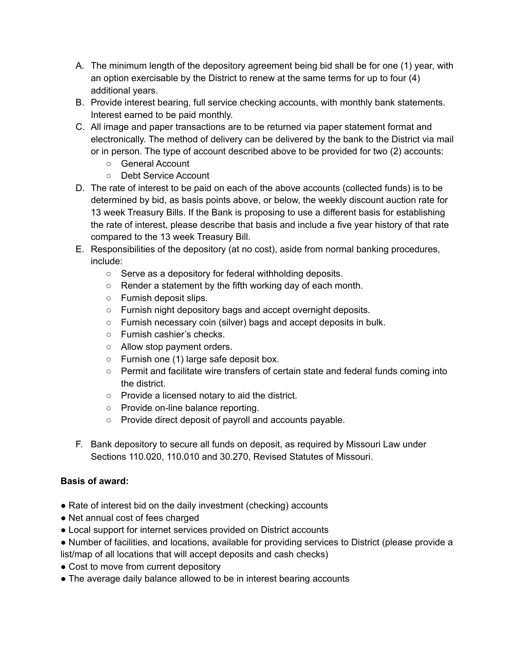- A. The minimum length of the depository agreement being bid shall be for one (1) year, with an option exercisable by the District to renew at the same terms for up to four (4) additional years.
- B. Provide interest bearing, full service checking accounts, with monthly bank statements. Interest earned to be paid monthly.
- C. All image and paper transactions are to be returned via paper statement format and electronically. The method of delivery can be delivered by the bank to the District via mail or in person. The type of account described above to be provided for two (2) accounts:
	- General Account
	- Debt Service Account
- D. The rate of interest to be paid on each of the above accounts (collected funds) is to be determined by bid, as basis points above, or below, the weekly discount auction rate for 13 week Treasury Bills. If the Bank is proposing to use a different basis for establishing the rate of interest, please describe that basis and include a five year history of that rate compared to the 13 week Treasury Bill.
- E. Responsibilities of the depository (at no cost), aside from normal banking procedures, include:
	- Serve as a depository for federal withholding deposits.
	- Render a statement by the fifth working day of each month.
	- Furnish deposit slips.
	- Furnish night depository bags and accept overnight deposits.
	- Furnish necessary coin (silver) bags and accept deposits in bulk.
	- Furnish cashier's checks.
	- Allow stop payment orders.
	- $\circ$  Furnish one (1) large safe deposit box.
	- Permit and facilitate wire transfers of certain state and federal funds coming into the district.
	- Provide a licensed notary to aid the district.
	- Provide on-line balance reporting.
	- Provide direct deposit of payroll and accounts payable.
- F. Bank depository to secure all funds on deposit, as required by Missouri Law under Sections 110.020, 110.010 and 30.270, Revised Statutes of Missouri.

# **Basis of award:**

- Rate of interest bid on the daily investment (checking) accounts
- Net annual cost of fees charged
- Local support for internet services provided on District accounts
- Number of facilities, and locations, available for providing services to District (please provide a list/map of all locations that will accept deposits and cash checks)
- Cost to move from current depository
- The average daily balance allowed to be in interest bearing accounts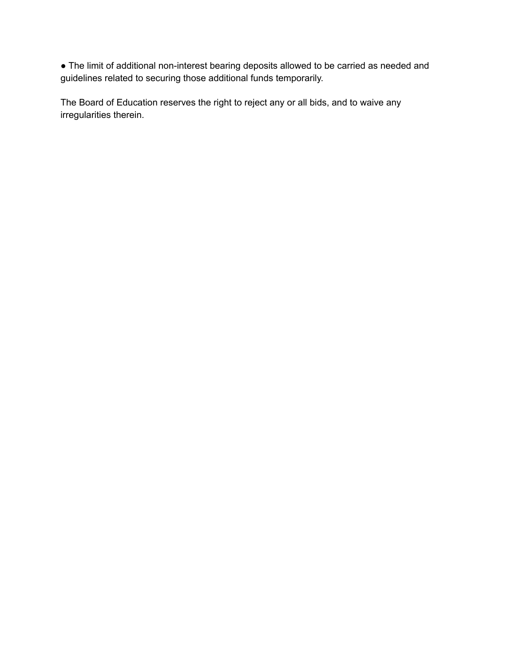● The limit of additional non-interest bearing deposits allowed to be carried as needed and guidelines related to securing those additional funds temporarily.

The Board of Education reserves the right to reject any or all bids, and to waive any irregularities therein.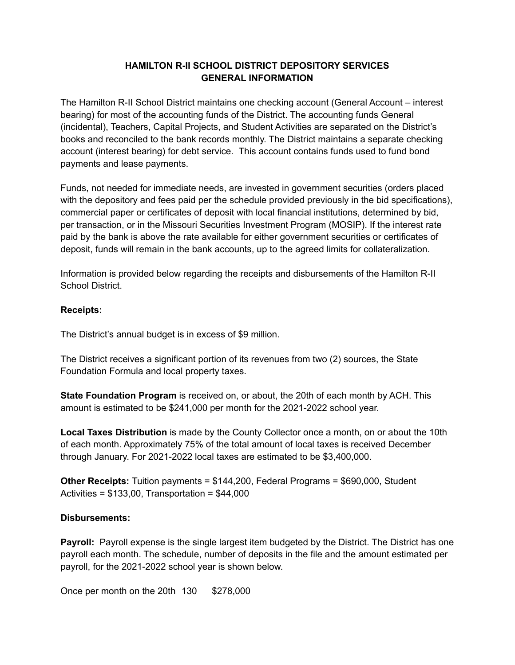# **HAMILTON R-II SCHOOL DISTRICT DEPOSITORY SERVICES GENERAL INFORMATION**

The Hamilton R-II School District maintains one checking account (General Account – interest bearing) for most of the accounting funds of the District. The accounting funds General (incidental), Teachers, Capital Projects, and Student Activities are separated on the District's books and reconciled to the bank records monthly. The District maintains a separate checking account (interest bearing) for debt service. This account contains funds used to fund bond payments and lease payments.

Funds, not needed for immediate needs, are invested in government securities (orders placed with the depository and fees paid per the schedule provided previously in the bid specifications), commercial paper or certificates of deposit with local financial institutions, determined by bid, per transaction, or in the Missouri Securities Investment Program (MOSIP). If the interest rate paid by the bank is above the rate available for either government securities or certificates of deposit, funds will remain in the bank accounts, up to the agreed limits for collateralization.

Information is provided below regarding the receipts and disbursements of the Hamilton R-II School District.

#### **Receipts:**

The District's annual budget is in excess of \$9 million.

The District receives a significant portion of its revenues from two (2) sources, the State Foundation Formula and local property taxes.

**State Foundation Program** is received on, or about, the 20th of each month by ACH. This amount is estimated to be \$241,000 per month for the 2021-2022 school year.

**Local Taxes Distribution** is made by the County Collector once a month, on or about the 10th of each month. Approximately 75% of the total amount of local taxes is received December through January. For 2021-2022 local taxes are estimated to be \$3,400,000.

**Other Receipts:** Tuition payments = \$144,200, Federal Programs = \$690,000, Student Activities =  $$133,00$ , Transportation =  $$44,000$ 

#### **Disbursements:**

**Payroll:** Payroll expense is the single largest item budgeted by the District. The District has one payroll each month. The schedule, number of deposits in the file and the amount estimated per payroll, for the 2021-2022 school year is shown below.

Once per month on the 20th 130 \$278,000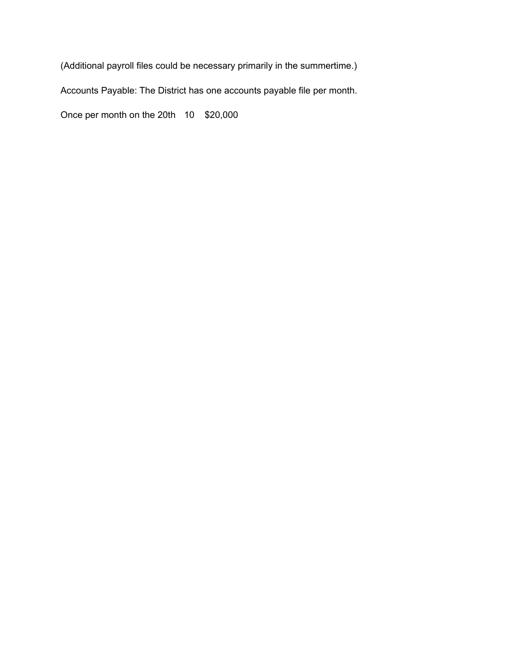(Additional payroll files could be necessary primarily in the summertime.)

Accounts Payable: The District has one accounts payable file per month.

Once per month on the 20th 10 \$20,000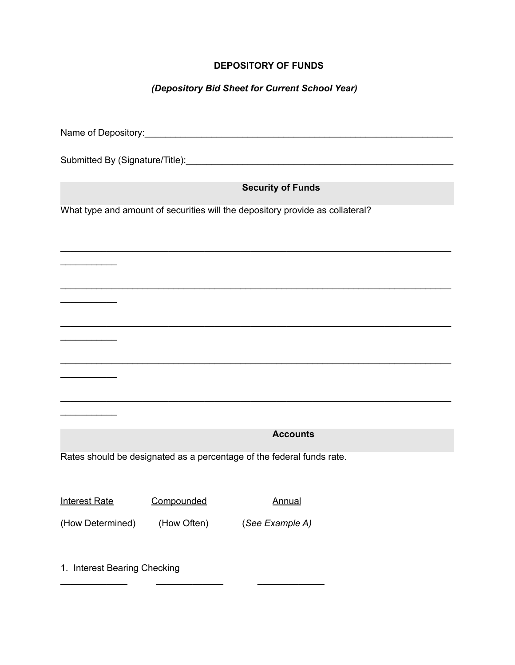# **DEPOSITORY OF FUNDS**

# *(Depository Bid Sheet for Current School Year)*

| <b>Security of Funds</b>                                              |                                                                               |                 |  |  |  |  |
|-----------------------------------------------------------------------|-------------------------------------------------------------------------------|-----------------|--|--|--|--|
|                                                                       | What type and amount of securities will the depository provide as collateral? |                 |  |  |  |  |
|                                                                       |                                                                               |                 |  |  |  |  |
|                                                                       |                                                                               |                 |  |  |  |  |
|                                                                       |                                                                               |                 |  |  |  |  |
|                                                                       |                                                                               |                 |  |  |  |  |
|                                                                       |                                                                               |                 |  |  |  |  |
|                                                                       |                                                                               |                 |  |  |  |  |
| <u> 1980 - Johann Stoff, fransk politiker (</u>                       |                                                                               |                 |  |  |  |  |
|                                                                       |                                                                               |                 |  |  |  |  |
|                                                                       |                                                                               |                 |  |  |  |  |
|                                                                       |                                                                               |                 |  |  |  |  |
|                                                                       |                                                                               |                 |  |  |  |  |
|                                                                       |                                                                               |                 |  |  |  |  |
|                                                                       |                                                                               | <b>Accounts</b> |  |  |  |  |
| Rates should be designated as a percentage of the federal funds rate. |                                                                               |                 |  |  |  |  |
|                                                                       |                                                                               |                 |  |  |  |  |
| Interest Rate Compounded Annual                                       |                                                                               |                 |  |  |  |  |
|                                                                       |                                                                               |                 |  |  |  |  |
| (How Determined)                                                      | (How Often)                                                                   | (See Example A) |  |  |  |  |
|                                                                       |                                                                               |                 |  |  |  |  |
| 1. Interest Bearing Checking                                          |                                                                               |                 |  |  |  |  |

\_\_\_\_\_\_\_\_\_\_\_\_\_ \_\_\_\_\_\_\_\_\_\_\_\_\_ \_\_\_\_\_\_\_\_\_\_\_\_\_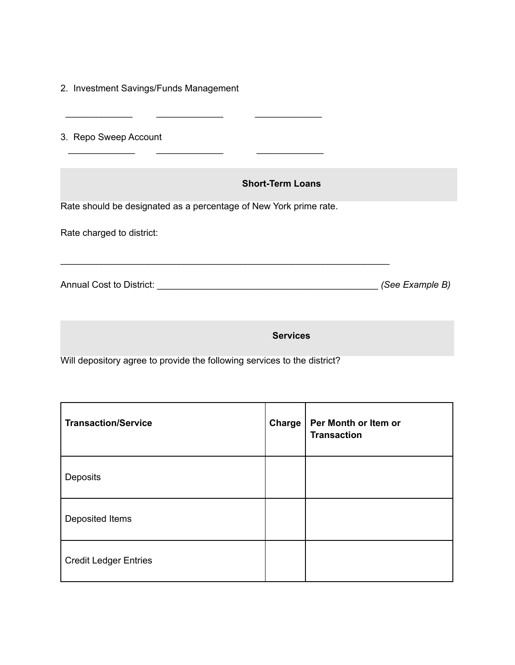|  |  | 2. Investment Savings/Funds Management |  |
|--|--|----------------------------------------|--|
|--|--|----------------------------------------|--|

3. Repo Sweep Account

#### **Short-Term Loans**

Rate should be designated as a percentage of New York prime rate.

 $\overline{\phantom{a}}$  ,  $\overline{\phantom{a}}$  ,  $\overline{\phantom{a}}$  ,  $\overline{\phantom{a}}$  ,  $\overline{\phantom{a}}$  ,  $\overline{\phantom{a}}$  ,  $\overline{\phantom{a}}$  ,  $\overline{\phantom{a}}$  ,  $\overline{\phantom{a}}$  ,  $\overline{\phantom{a}}$  ,  $\overline{\phantom{a}}$  ,  $\overline{\phantom{a}}$  ,  $\overline{\phantom{a}}$  ,  $\overline{\phantom{a}}$  ,  $\overline{\phantom{a}}$  ,  $\overline{\phantom{a}}$ 

\_\_\_\_\_\_\_\_\_\_\_\_\_ \_\_\_\_\_\_\_\_\_\_\_\_\_ \_\_\_\_\_\_\_\_\_\_\_\_\_

Rate charged to district:

Annual Cost to District: \_\_\_\_\_\_\_\_\_\_\_\_\_\_\_\_\_\_\_\_\_\_\_\_\_\_\_\_\_\_\_\_\_\_\_\_\_\_\_\_\_\_\_ *(See Example B)*

\_\_\_\_\_\_\_\_\_\_\_\_\_\_\_\_\_\_\_\_\_\_\_\_\_\_\_\_\_\_\_\_\_\_\_\_\_\_\_\_\_\_\_\_\_\_\_\_\_\_\_\_\_\_\_\_\_\_\_\_\_\_\_\_

**Services**

Will depository agree to provide the following services to the district?

| <b>Transaction/Service</b>   | Charge | Per Month or Item or<br><b>Transaction</b> |
|------------------------------|--------|--------------------------------------------|
| Deposits                     |        |                                            |
| Deposited Items              |        |                                            |
| <b>Credit Ledger Entries</b> |        |                                            |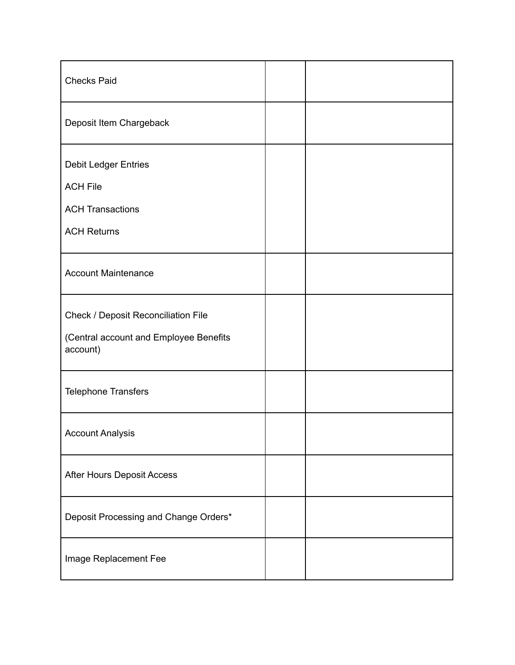| <b>Checks Paid</b>                                 |  |
|----------------------------------------------------|--|
| Deposit Item Chargeback                            |  |
| <b>Debit Ledger Entries</b>                        |  |
| <b>ACH File</b>                                    |  |
| <b>ACH Transactions</b>                            |  |
| <b>ACH Returns</b>                                 |  |
| <b>Account Maintenance</b>                         |  |
| Check / Deposit Reconciliation File                |  |
| (Central account and Employee Benefits<br>account) |  |
| <b>Telephone Transfers</b>                         |  |
| <b>Account Analysis</b>                            |  |
| After Hours Deposit Access                         |  |
| Deposit Processing and Change Orders*              |  |
| Image Replacement Fee                              |  |